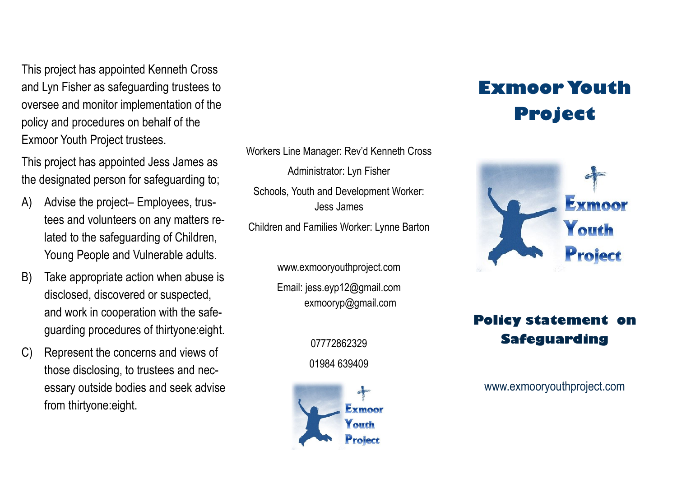This project has appointed Kenneth Cross and Lyn Fisher as safeguarding trustees to oversee and monitor implementation of the policy and procedures on behalf of the Exmoor Youth Project trustees.

This project has appointed Jess James as the designated person for safeguarding to;

- A) Advise the project– Employees, trustees and volunteers on any matters related to the safeguarding of Children, Young People and Vulnerable adults.
- B) Take appropriate action when abuse is disclosed, discovered or suspected, and work in cooperation with the safeguarding procedures of thirtyone:eight.
- C) Represent the concerns and views of those disclosing, to trustees and necessary outside bodies and seek advise from thirtyone:eight.

Workers Line Manager: Rev'd Kenneth Cross Administrator: Lyn Fisher Schools, Youth and Development Worker: Jess James Children and Families Worker: Lynne Barton

> www.exmooryouthproject.com Email: jess.eyp12@gmail.com exmooryp@gmail.com

> > 07772862329 01984 639409



## **Exmoor Youth Project**



## **Policy statement on Safeguarding**

www.exmooryouthproject.com